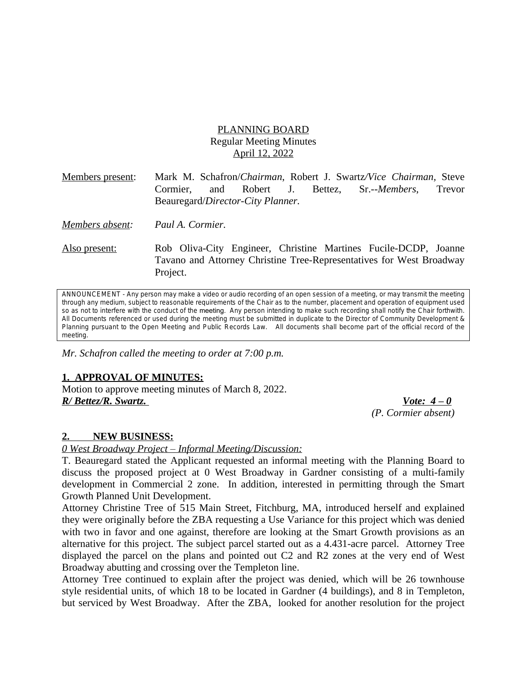# PLANNING BOARD Regular Meeting Minutes April 12, 2022

| Members present: | Mark M. Schafron/ <i>Chairman</i> , Robert J. Swartz/ <i>Vice Chairman</i> , Steve<br>and Robert J. Bettez, Sr.-- <i>Members</i> ,<br>Cormier,<br>Trevor<br>Beauregard/Director-City Planner. |
|------------------|-----------------------------------------------------------------------------------------------------------------------------------------------------------------------------------------------|
| Members absent:  | Paul A. Cormier.                                                                                                                                                                              |
| Also present:    | Rob Oliva-City Engineer, Christine Martines Fucile-DCDP, Joanne<br>Tavano and Attorney Christine Tree-Representatives for West Broadway<br>Project.                                           |

ANNOUNCEMENT - Any person may make a video or audio recording of an open session of a meeting, or may transmit the meeting through any medium, subject to reasonable requirements of the Chair as to the number, placement and operation of equipment used so as not to interfere with the conduct of the meeting. Any person intending to make such recording shall notify the Chair forthwith. All Documents referenced or used during the meeting must be submitted in duplicate to the Director of Community Development & Planning pursuant to the Open Meeting and Public Records Law. All documents shall become part of the official record of the *meeting.*

*Mr. Schafron called the meeting to order at 7:00 p.m.*

## **1. APPROVAL OF MINUTES:**

Motion to approve meeting minutes of March 8, 2022. *R/ Bettez/R. Swartz. Vote: 4 – 0*

*(P. Cormier absent)*

## **2. NEW BUSINESS:**

*0 West Broadway Project – Informal Meeting/Discussion:*

T. Beauregard stated the Applicant requested an informal meeting with the Planning Board to discuss the proposed project at 0 West Broadway in Gardner consisting of a multi-family development in Commercial 2 zone. In addition, interested in permitting through the Smart Growth Planned Unit Development.

Attorney Christine Tree of 515 Main Street, Fitchburg, MA, introduced herself and explained they were originally before the ZBA requesting a Use Variance for this project which was denied with two in favor and one against, therefore are looking at the Smart Growth provisions as an alternative for this project. The subject parcel started out as a 4.431-acre parcel. Attorney Tree displayed the parcel on the plans and pointed out C2 and R2 zones at the very end of West Broadway abutting and crossing over the Templeton line.

Attorney Tree continued to explain after the project was denied, which will be 26 townhouse style residential units, of which 18 to be located in Gardner (4 buildings), and 8 in Templeton, but serviced by West Broadway. After the ZBA, looked for another resolution for the project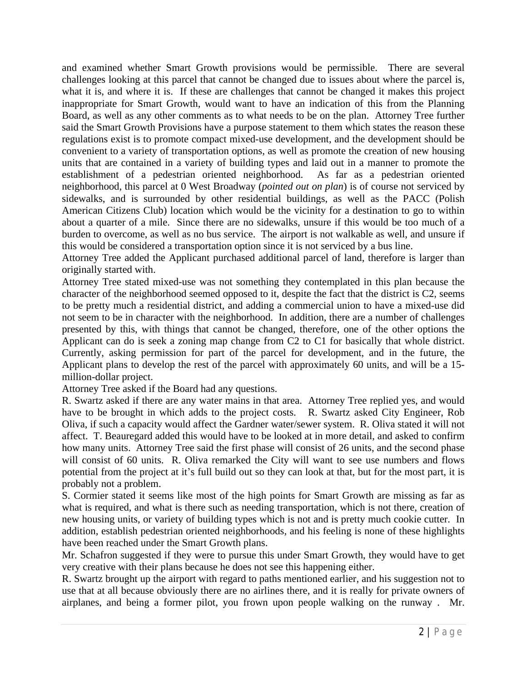and examined whether Smart Growth provisions would be permissible. There are several challenges looking at this parcel that cannot be changed due to issues about where the parcel is, what it is, and where it is. If these are challenges that cannot be changed it makes this project inappropriate for Smart Growth, would want to have an indication of this from the Planning Board, as well as any other comments as to what needs to be on the plan. Attorney Tree further said the Smart Growth Provisions have a purpose statement to them which states the reason these regulations exist is to promote compact mixed-use development, and the development should be convenient to a variety of transportation options, as well as promote the creation of new housing units that are contained in a variety of building types and laid out in a manner to promote the establishment of a pedestrian oriented neighborhood. As far as a pedestrian oriented neighborhood, this parcel at 0 West Broadway (*pointed out on plan*) is of course not serviced by sidewalks, and is surrounded by other residential buildings, as well as the PACC (Polish American Citizens Club) location which would be the vicinity for a destination to go to within about a quarter of a mile. Since there are no sidewalks, unsure if this would be too much of a burden to overcome, as well as no bus service. The airport is not walkable as well, and unsure if this would be considered a transportation option since it is not serviced by a bus line.

Attorney Tree added the Applicant purchased additional parcel of land, therefore is larger than originally started with.

Attorney Tree stated mixed-use was not something they contemplated in this plan because the character of the neighborhood seemed opposed to it, despite the fact that the district is C2, seems to be pretty much a residential district, and adding a commercial union to have a mixed-use did not seem to be in character with the neighborhood. In addition, there are a number of challenges presented by this, with things that cannot be changed, therefore, one of the other options the Applicant can do is seek a zoning map change from C2 to C1 for basically that whole district. Currently, asking permission for part of the parcel for development, and in the future, the Applicant plans to develop the rest of the parcel with approximately 60 units, and will be a 15 million-dollar project.

Attorney Tree asked if the Board had any questions.

R. Swartz asked if there are any water mains in that area. Attorney Tree replied yes, and would have to be brought in which adds to the project costs. R. Swartz asked City Engineer, Rob Oliva, if such a capacity would affect the Gardner water/sewer system. R. Oliva stated it will not affect. T. Beauregard added this would have to be looked at in more detail, and asked to confirm how many units. Attorney Tree said the first phase will consist of 26 units, and the second phase will consist of 60 units. R. Oliva remarked the City will want to see use numbers and flows potential from the project at it's full build out so they can look at that, but for the most part, it is probably not a problem.

S. Cormier stated it seems like most of the high points for Smart Growth are missing as far as what is required, and what is there such as needing transportation, which is not there, creation of new housing units, or variety of building types which is not and is pretty much cookie cutter. In addition, establish pedestrian oriented neighborhoods, and his feeling is none of these highlights have been reached under the Smart Growth plans.

Mr. Schafron suggested if they were to pursue this under Smart Growth, they would have to get very creative with their plans because he does not see this happening either.

R. Swartz brought up the airport with regard to paths mentioned earlier, and his suggestion not to use that at all because obviously there are no airlines there, and it is really for private owners of airplanes, and being a former pilot, you frown upon people walking on the runway . Mr.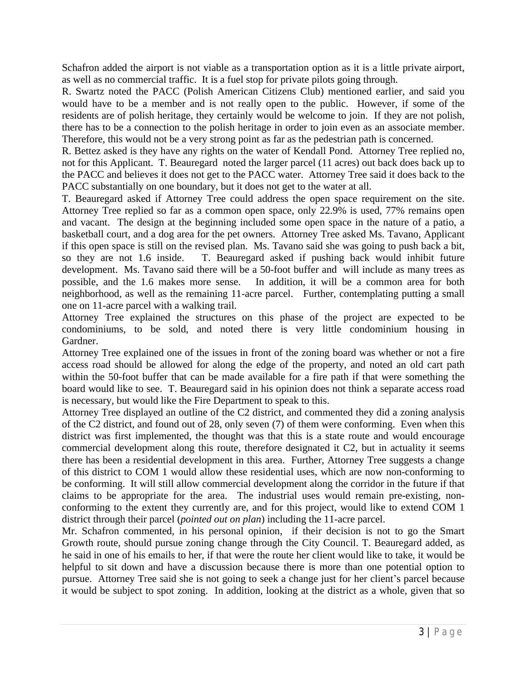Schafron added the airport is not viable as a transportation option as it is a little private airport, as well as no commercial traffic. It is a fuel stop for private pilots going through.

R. Swartz noted the PACC (Polish American Citizens Club) mentioned earlier, and said you would have to be a member and is not really open to the public. However, if some of the residents are of polish heritage, they certainly would be welcome to join. If they are not polish, there has to be a connection to the polish heritage in order to join even as an associate member. Therefore, this would not be a very strong point as far as the pedestrian path is concerned.

R. Bettez asked is they have any rights on the water of Kendall Pond. Attorney Tree replied no, not for this Applicant. T. Beauregard noted the larger parcel (11 acres) out back does back up to the PACC and believes it does not get to the PACC water. Attorney Tree said it does back to the PACC substantially on one boundary, but it does not get to the water at all.

T. Beauregard asked if Attorney Tree could address the open space requirement on the site. Attorney Tree replied so far as a common open space, only 22.9% is used, 77% remains open and vacant. The design at the beginning included some open space in the nature of a patio, a basketball court, and a dog area for the pet owners. Attorney Tree asked Ms. Tavano, Applicant if this open space is still on the revised plan. Ms. Tavano said she was going to push back a bit, so they are not 1.6 inside. T. Beauregard asked if pushing back would inhibit future development. Ms. Tavano said there will be a 50-foot buffer and will include as many trees as possible, and the 1.6 makes more sense. In addition, it will be a common area for both neighborhood, as well as the remaining 11-acre parcel. Further, contemplating putting a small one on 11-acre parcel with a walking trail.

Attorney Tree explained the structures on this phase of the project are expected to be condominiums, to be sold, and noted there is very little condominium housing in Gardner.

Attorney Tree explained one of the issues in front of the zoning board was whether or not a fire access road should be allowed for along the edge of the property, and noted an old cart path within the 50-foot buffer that can be made available for a fire path if that were something the board would like to see. T. Beauregard said in his opinion does not think a separate access road is necessary, but would like the Fire Department to speak to this.

Attorney Tree displayed an outline of the C2 district, and commented they did a zoning analysis of the C2 district, and found out of 28, only seven (7) of them were conforming. Even when this district was first implemented, the thought was that this is a state route and would encourage commercial development along this route, therefore designated it C2, but in actuality it seems there has been a residential development in this area. Further, Attorney Tree suggests a change of this district to COM 1 would allow these residential uses, which are now non-conforming to be conforming. It will still allow commercial development along the corridor in the future if that claims to be appropriate for the area. The industrial uses would remain pre-existing, nonconforming to the extent they currently are, and for this project, would like to extend COM 1 district through their parcel (*pointed out on plan*) including the 11-acre parcel.

Mr. Schafron commented, in his personal opinion, if their decision is not to go the Smart Growth route, should pursue zoning change through the City Council. T. Beauregard added, as he said in one of his emails to her, if that were the route her client would like to take, it would be helpful to sit down and have a discussion because there is more than one potential option to pursue. Attorney Tree said she is not going to seek a change just for her client's parcel because it would be subject to spot zoning. In addition, looking at the district as a whole, given that so